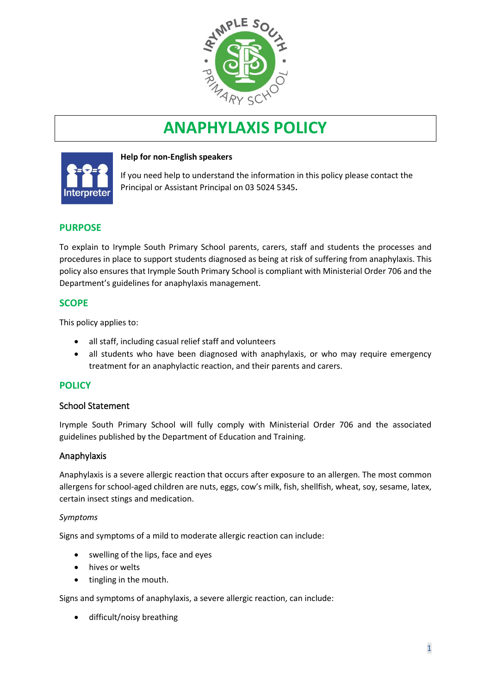

# **ANAPHYLAXIS POLICY**



# **Help for non-English speakers**

If you need help to understand the information in this policy please contact the Principal or Assistant Principal on 03 5024 5345.

# **PURPOSE**

To explain to Irymple South Primary School parents, carers, staff and students the processes and procedures in place to support students diagnosed as being at risk of suffering from anaphylaxis. This policy also ensures that Irymple South Primary School is compliant with Ministerial Order 706 and the Department's guidelines for anaphylaxis management.

# **SCOPE**

This policy applies to:

- all staff, including casual relief staff and volunteers
- all students who have been diagnosed with anaphylaxis, or who may require emergency treatment for an anaphylactic reaction, and their parents and carers.

# **POLICY**

# School Statement

Irymple South Primary School will fully comply with Ministerial Order 706 and the associated guidelines published by the Department of Education and Training.

# Anaphylaxis

Anaphylaxis is a severe allergic reaction that occurs after exposure to an allergen. The most common allergens for school-aged children are nuts, eggs, cow's milk, fish, shellfish, wheat, soy, sesame, latex, certain insect stings and medication.

#### *Symptoms*

Signs and symptoms of a mild to moderate allergic reaction can include:

- swelling of the lips, face and eyes
- hives or welts
- tingling in the mouth.

Signs and symptoms of anaphylaxis, a severe allergic reaction, can include:

• difficult/noisy breathing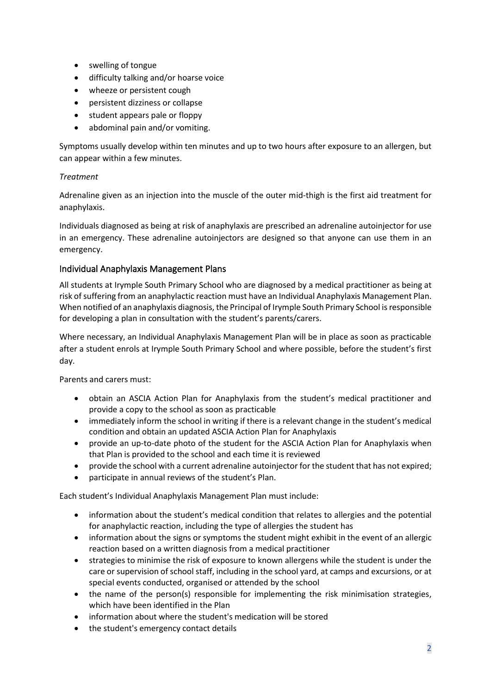- swelling of tongue
- difficulty talking and/or hoarse voice
- wheeze or persistent cough
- persistent dizziness or collapse
- student appears pale or floppy
- abdominal pain and/or vomiting.

Symptoms usually develop within ten minutes and up to two hours after exposure to an allergen, but can appear within a few minutes.

## *Treatment*

Adrenaline given as an injection into the muscle of the outer mid-thigh is the first aid treatment for anaphylaxis.

Individuals diagnosed as being at risk of anaphylaxis are prescribed an adrenaline autoinjector for use in an emergency. These adrenaline autoinjectors are designed so that anyone can use them in an emergency.

# Individual Anaphylaxis Management Plans

All students at Irymple South Primary School who are diagnosed by a medical practitioner as being at risk of suffering from an anaphylactic reaction must have an Individual Anaphylaxis Management Plan. When notified of an anaphylaxis diagnosis, the Principal of Irymple South Primary School is responsible for developing a plan in consultation with the student's parents/carers.

Where necessary, an Individual Anaphylaxis Management Plan will be in place as soon as practicable after a student enrols at Irymple South Primary School and where possible, before the student's first day.

Parents and carers must:

- obtain an ASCIA Action Plan for Anaphylaxis from the student's medical practitioner and provide a copy to the school as soon as practicable
- immediately inform the school in writing if there is a relevant change in the student's medical condition and obtain an updated ASCIA Action Plan for Anaphylaxis
- provide an up-to-date photo of the student for the ASCIA Action Plan for Anaphylaxis when that Plan is provided to the school and each time it is reviewed
- provide the school with a current adrenaline autoinjector for the student that has not expired;
- participate in annual reviews of the student's Plan.

Each student's Individual Anaphylaxis Management Plan must include:

- information about the student's medical condition that relates to allergies and the potential for anaphylactic reaction, including the type of allergies the student has
- information about the signs or symptoms the student might exhibit in the event of an allergic reaction based on a written diagnosis from a medical practitioner
- strategies to minimise the risk of exposure to known allergens while the student is under the care or supervision of school staff, including in the school yard, at camps and excursions, or at special events conducted, organised or attended by the school
- the name of the person(s) responsible for implementing the risk minimisation strategies, which have been identified in the Plan
- information about where the student's medication will be stored
- the student's emergency contact details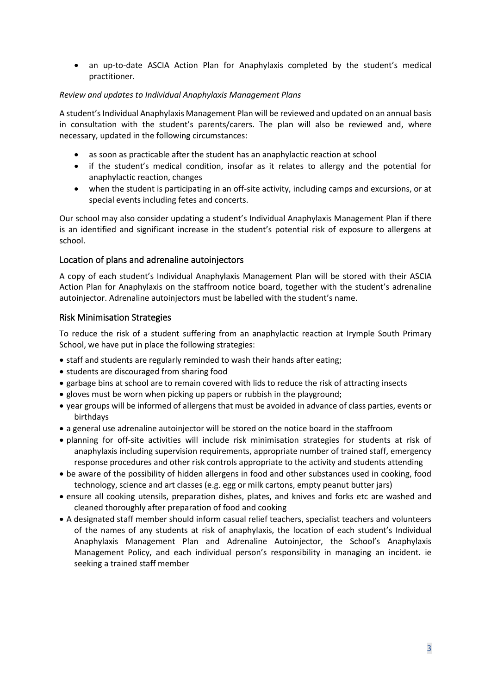• an up-to-date ASCIA Action Plan for Anaphylaxis completed by the student's medical practitioner.

#### *Review and updates to Individual Anaphylaxis Management Plans*

A student's Individual Anaphylaxis Management Plan will be reviewed and updated on an annual basis in consultation with the student's parents/carers. The plan will also be reviewed and, where necessary, updated in the following circumstances:

- as soon as practicable after the student has an anaphylactic reaction at school
- if the student's medical condition, insofar as it relates to allergy and the potential for anaphylactic reaction, changes
- when the student is participating in an off-site activity, including camps and excursions, or at special events including fetes and concerts.

Our school may also consider updating a student's Individual Anaphylaxis Management Plan if there is an identified and significant increase in the student's potential risk of exposure to allergens at school.

#### Location of plans and adrenaline autoinjectors

A copy of each student's Individual Anaphylaxis Management Plan will be stored with their ASCIA Action Plan for Anaphylaxis on the staffroom notice board, together with the student's adrenaline autoinjector. Adrenaline autoinjectors must be labelled with the student's name.

#### Risk Minimisation Strategies

To reduce the risk of a student suffering from an anaphylactic reaction at Irymple South Primary School, we have put in place the following strategies:

- staff and students are regularly reminded to wash their hands after eating;
- students are discouraged from sharing food
- garbage bins at school are to remain covered with lids to reduce the risk of attracting insects
- gloves must be worn when picking up papers or rubbish in the playground;
- year groups will be informed of allergens that must be avoided in advance of class parties, events or birthdays
- a general use adrenaline autoinjector will be stored on the notice board in the staffroom
- planning for off-site activities will include risk minimisation strategies for students at risk of anaphylaxis including supervision requirements, appropriate number of trained staff, emergency response procedures and other risk controls appropriate to the activity and students attending
- be aware of the possibility of hidden allergens in food and other substances used in cooking, food technology, science and art classes (e.g. egg or milk cartons, empty peanut butter jars)
- ensure all cooking utensils, preparation dishes, plates, and knives and forks etc are washed and cleaned thoroughly after preparation of food and cooking
- A designated staff member should inform casual relief teachers, specialist teachers and volunteers of the names of any students at risk of anaphylaxis, the location of each student's Individual Anaphylaxis Management Plan and Adrenaline Autoinjector, the School's Anaphylaxis Management Policy, and each individual person's responsibility in managing an incident. ie seeking a trained staff member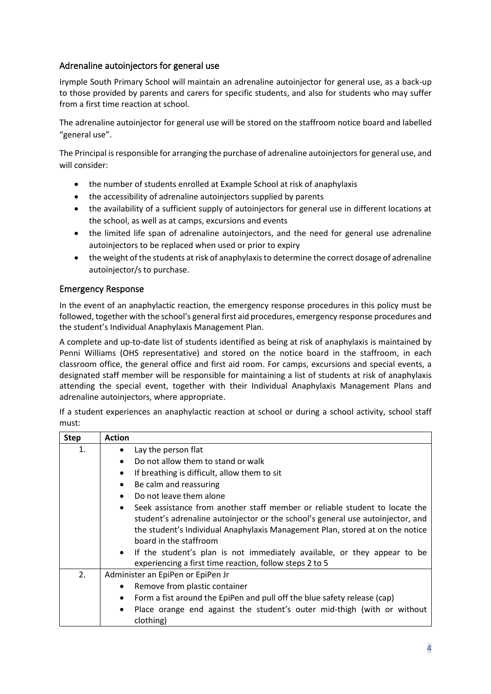# Adrenaline autoinjectors for general use

Irymple South Primary School will maintain an adrenaline autoinjector for general use, as a back-up to those provided by parents and carers for specific students, and also for students who may suffer from a first time reaction at school.

The adrenaline autoinjector for general use will be stored on the staffroom notice board and labelled "general use".

The Principal is responsible for arranging the purchase of adrenaline autoinjectors for general use, and will consider:

- the number of students enrolled at Example School at risk of anaphylaxis
- the accessibility of adrenaline autoinjectors supplied by parents
- the availability of a sufficient supply of autoinjectors for general use in different locations at the school, as well as at camps, excursions and events
- the limited life span of adrenaline autoinjectors, and the need for general use adrenaline autoinjectors to be replaced when used or prior to expiry
- the weight of the students at risk of anaphylaxis to determine the correct dosage of adrenaline autoinjector/s to purchase.

# Emergency Response

In the event of an anaphylactic reaction, the emergency response procedures in this policy must be followed, together with the school's general first aid procedures, emergency response procedures and the student's Individual Anaphylaxis Management Plan.

A complete and up-to-date list of students identified as being at risk of anaphylaxis is maintained by Penni Williams (OHS representative) and stored on the notice board in the staffroom, in each classroom office, the general office and first aid room. For camps, excursions and special events, a designated staff member will be responsible for maintaining a list of students at risk of anaphylaxis attending the special event, together with their Individual Anaphylaxis Management Plans and adrenaline autoinjectors, where appropriate.

If a student experiences an anaphylactic reaction at school or during a school activity, school staff must:

| <b>Step</b> | <b>Action</b>                                                                                     |
|-------------|---------------------------------------------------------------------------------------------------|
| 1.          | Lay the person flat<br>$\bullet$                                                                  |
|             | Do not allow them to stand or walk<br>$\bullet$                                                   |
|             | If breathing is difficult, allow them to sit<br>$\bullet$                                         |
|             | Be calm and reassuring<br>٠                                                                       |
|             | Do not leave them alone<br>$\bullet$                                                              |
|             | Seek assistance from another staff member or reliable student to locate the<br>$\bullet$          |
|             | student's adrenaline autoinjector or the school's general use autoinjector, and                   |
|             | the student's Individual Anaphylaxis Management Plan, stored at on the notice                     |
|             | board in the staffroom                                                                            |
|             | If the student's plan is not immediately available, or they appear to be<br>$\bullet$             |
|             | experiencing a first time reaction, follow steps 2 to 5                                           |
| 2.          | Administer an EpiPen or EpiPen Jr                                                                 |
|             | Remove from plastic container<br>٠                                                                |
|             | Form a fist around the EpiPen and pull off the blue safety release (cap)<br>$\bullet$             |
|             | Place orange end against the student's outer mid-thigh (with or without<br>$\bullet$<br>clothing) |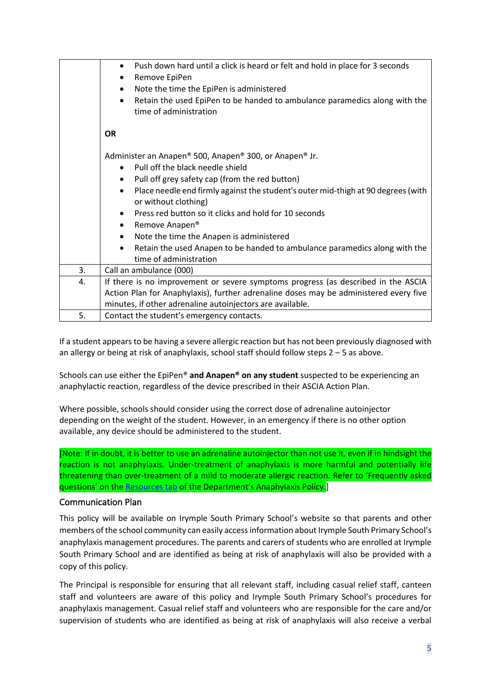|    | Push down hard until a click is heard or felt and hold in place for 3 seconds<br>$\bullet$<br>Remove EpiPen<br>Note the time the EpiPen is administered<br>$\bullet$<br>Retain the used EpiPen to be handed to ambulance paramedics along with the<br>$\bullet$                                                                                                                                                                                                                                                                                          |
|----|----------------------------------------------------------------------------------------------------------------------------------------------------------------------------------------------------------------------------------------------------------------------------------------------------------------------------------------------------------------------------------------------------------------------------------------------------------------------------------------------------------------------------------------------------------|
|    | time of administration<br><b>OR</b>                                                                                                                                                                                                                                                                                                                                                                                                                                                                                                                      |
|    | Administer an Anapen® 500, Anapen® 300, or Anapen® Jr.<br>Pull off the black needle shield<br>$\bullet$<br>Pull off grey safety cap (from the red button)<br>Place needle end firmly against the student's outer mid-thigh at 90 degrees (with<br>$\bullet$<br>or without clothing)<br>Press red button so it clicks and hold for 10 seconds<br>Remove Anapen <sup>®</sup><br>$\bullet$<br>Note the time the Anapen is administered<br>Retain the used Anapen to be handed to ambulance paramedics along with the<br>$\bullet$<br>time of administration |
| 3. | Call an ambulance (000)                                                                                                                                                                                                                                                                                                                                                                                                                                                                                                                                  |
| 4. | If there is no improvement or severe symptoms progress (as described in the ASCIA                                                                                                                                                                                                                                                                                                                                                                                                                                                                        |
|    | Action Plan for Anaphylaxis), further adrenaline doses may be administered every five<br>minutes, if other adrenaline autoinjectors are available.                                                                                                                                                                                                                                                                                                                                                                                                       |
| 5. | Contact the student's emergency contacts.                                                                                                                                                                                                                                                                                                                                                                                                                                                                                                                |

If a student appears to be having a severe allergic reaction but has not been previously diagnosed with an allergy or being at risk of anaphylaxis, school staff should follow steps  $2 - 5$  as above.

Schools can use either the EpiPen® **and Anapen® on any student** suspected to be experiencing an anaphylactic reaction, regardless of the device prescribed in their ASCIA Action Plan.

Where possible, schools should consider using the correct dose of adrenaline autoinjector depending on the weight of the student. However, in an emergency if there is no other option available, any device should be administered to the student.

[Note: If in doubt, it is better to use an adrenaline autoinjector than not use it, even if in hindsight the reaction is not anaphylaxis. Under-treatment of anaphylaxis is more harmful and potentially life threatening than over-treatment of a mild to moderate allergic reaction. Refer to 'Frequently asked questions' on the [Resources tab](https://www2.education.vic.gov.au/pal/anaphylaxis/resources) of the Department's Anaphylaxis Policy.]

#### Communication Plan

This policy will be available on Irymple South Primary School's website so that parents and other members of the school community can easily access information about Irymple South Primary School's anaphylaxis management procedures. The parents and carers of students who are enrolled at Irymple South Primary School and are identified as being at risk of anaphylaxis will also be provided with a copy of this policy.

The Principal is responsible for ensuring that all relevant staff, including casual relief staff, canteen staff and volunteers are aware of this policy and Irymple South Primary School's procedures for anaphylaxis management. Casual relief staff and volunteers who are responsible for the care and/or supervision of students who are identified as being at risk of anaphylaxis will also receive a verbal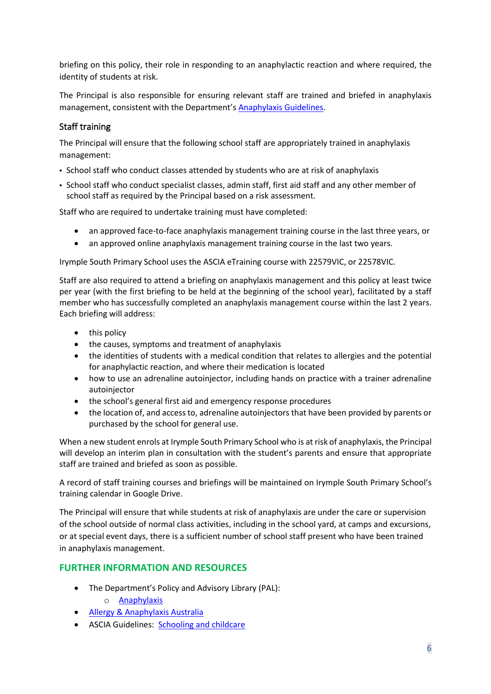briefing on this policy, their role in responding to an anaphylactic reaction and where required, the identity of students at risk.

The Principal is also responsible for ensuring relevant staff are trained and briefed in anaphylaxis management, consistent with the Department's **Anaphylaxis Guidelines**.

# Staff training

The Principal will ensure that the following school staff are appropriately trained in anaphylaxis management:

- School staff who conduct classes attended by students who are at risk of anaphylaxis
- School staff who conduct specialist classes, admin staff, first aid staff and any other member of school staff as required by the Principal based on a risk assessment.

Staff who are required to undertake training must have completed:

- an approved face-to-face anaphylaxis management training course in the last three years, or
- an approved online anaphylaxis management training course in the last two years.

Irymple South Primary School uses the ASCIA eTraining course with 22579VIC, or 22578VIC.

Staff are also required to attend a briefing on anaphylaxis management and this policy at least twice per year (with the first briefing to be held at the beginning of the school year), facilitated by a staff member who has successfully completed an anaphylaxis management course within the last 2 years. Each briefing will address:

- this policy
- the causes, symptoms and treatment of anaphylaxis
- the identities of students with a medical condition that relates to allergies and the potential for anaphylactic reaction, and where their medication is located
- how to use an adrenaline autoinjector, including hands on practice with a trainer adrenaline autoinjector
- the school's general first aid and emergency response procedures
- the location of, and access to, adrenaline autoinjectors that have been provided by parents or purchased by the school for general use.

When a new student enrols at Irymple South Primary School who is at risk of anaphylaxis, the Principal will develop an interim plan in consultation with the student's parents and ensure that appropriate staff are trained and briefed as soon as possible.

A record of staff training courses and briefings will be maintained on Irymple South Primary School's training calendar in Google Drive.

The Principal will ensure that while students at risk of anaphylaxis are under the care or supervision of the school outside of normal class activities, including in the school yard, at camps and excursions, or at special event days, there is a sufficient number of school staff present who have been trained in anaphylaxis management.

# **FURTHER INFORMATION AND RESOURCES**

- The Department's Policy and Advisory Library (PAL):
	- o [Anaphylaxis](https://www2.education.vic.gov.au/pal/anaphylaxis/policy)
- [Allergy & Anaphylaxis Australia](https://allergyfacts.org.au/)
- ASCIA Guidelines: [Schooling and childcare](https://allergyfacts.org.au/allergy-management/schooling-childcare)